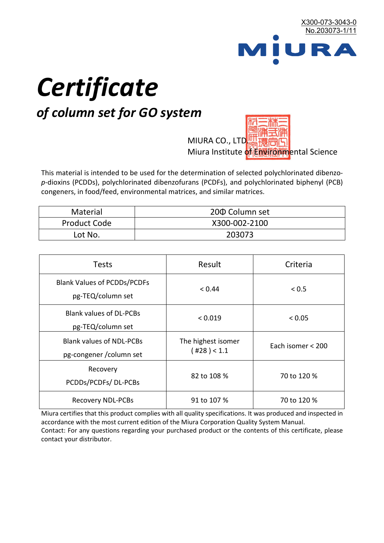

# *Certificate*

## *of column set for GO system*

MIURA CO., LTD. Miura Institute of 正版而解ental Science

This material is intended to be used for the determination of selected polychlorinated dibenzo*p*-dioxins (PCDDs), polychlorinated dibenzofurans (PCDFs), and polychlorinated biphenyl (PCB) congeners, in food/feed, environmental matrices, and similar matrices.

| <b>Material</b>     | 200 Column set |  |
|---------------------|----------------|--|
| <b>Product Code</b> | X300-002-2100  |  |
| Lot No.             | 203073         |  |

| <b>Tests</b>                                                | Result                            | Criteria          |
|-------------------------------------------------------------|-----------------------------------|-------------------|
| <b>Blank Values of PCDDs/PCDFs</b><br>pg-TEQ/column set     | < 0.44                            | < 0.5             |
| <b>Blank values of DL-PCBs</b><br>pg-TEQ/column set         | < 0.019                           | < 0.05            |
| <b>Blank values of NDL-PCBs</b><br>pg-congener / column set | The highest isomer<br>(428) < 1.1 | Each isomer < 200 |
| Recovery<br>PCDDs/PCDFs/DL-PCBs                             | 82 to 108 %                       | 70 to 120 %       |
| <b>Recovery NDL-PCBs</b>                                    | 91 to 107 %                       | 70 to 120 %       |

Miura certifies that this product complies with all quality specifications. It was produced and inspected in accordance with the most current edition of the Miura Corporation Quality System Manual. Contact: For any questions regarding your purchased product or the contents of this certificate, please contact your distributor.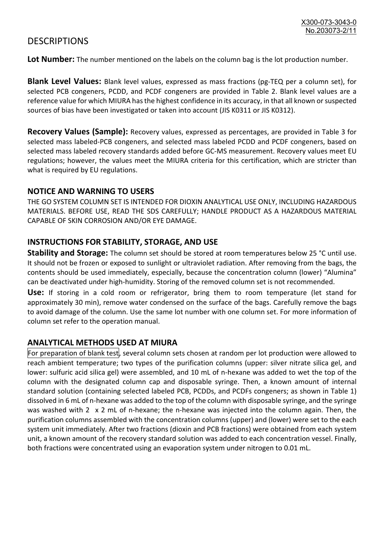### **DESCRIPTIONS**

**Lot Number:** The number mentioned on the labels on the column bag is the lot production number.

**Blank Level Values:** Blank level values, expressed as mass fractions (pg-TEQ per a column set), for selected PCB congeners, PCDD, and PCDF congeners are provided in Table 2. Blank level values are a reference value for which MIURA has the highest confidence in its accuracy, in that all known or suspected sources of bias have been investigated or taken into account (JIS K0311 or JIS K0312).

**Recovery Values (Sample):** Recovery values, expressed as percentages, are provided in Table 3 for selected mass labeled-PCB congeners, and selected mass labeled PCDD and PCDF congeners, based on selected mass labeled recovery standards added before GC-MS measurement. Recovery values meet EU regulations; however, the values meet the MIURA criteria for this certification, which are stricter than what is required by EU regulations.

#### **NOTICE AND WARNING TO USERS**

THE GO SYSTEM COLUMN SET IS INTENDED FOR DIOXIN ANALYTICAL USE ONLY, INCLUDING HAZARDOUS MATERIALS. BEFORE USE, READ THE SDS CAREFULLY; HANDLE PRODUCT AS A HAZARDOUS MATERIAL CAPABLE OF SKIN CORROSION AND/OR EYE DAMAGE.

#### **INSTRUCTIONS FOR STABILITY, STORAGE, AND USE**

**Stability and Storage:** The column set should be stored at room temperatures below 25 °C until use. It should not be frozen or exposed to sunlight or ultraviolet radiation. After removing from the bags, the contents should be used immediately, especially, because the concentration column (lower) "Alumina" can be deactivated under high-humidity. Storing of the removed column set is not recommended.

**Use:** If storing in a cold room or refrigerator, bring them to room temperature (let stand for approximately 30 min), remove water condensed on the surface of the bags. Carefully remove the bags to avoid damage of the column. Use the same lot number with one column set. For more information of column set refer to the operation manual.

#### **ANALYTICAL METHODS USED AT MIURA**

For preparation of blank test, several column sets chosen at random per lot production were allowed to reach ambient temperature; two types of the purification columns (upper: silver nitrate silica gel, and lower: sulfuric acid silica gel) were assembled, and 10 mL of n-hexane was added to wet the top of the column with the designated column cap and disposable syringe. Then, a known amount of internal standard solution (containing selected labeled PCB, PCDDs, and PCDFs congeners; as shown in Table 1) dissolved in 6 mL of n-hexane was added to the top of the column with disposable syringe, and the syringe was washed with 2 x 2 mL of n-hexane; the n-hexane was injected into the column again. Then, the purification columns assembled with the concentration columns (upper) and (lower) were set to the each system unit immediately. After two fractions (dioxin and PCB fractions) were obtained from each system unit, a known amount of the recovery standard solution was added to each concentration vessel. Finally, both fractions were concentrated using an evaporation system under nitrogen to 0.01 mL.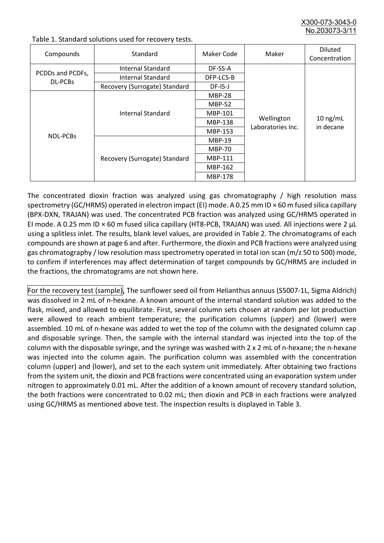X300-073-3043-0 No.203073-3/

| Compounds                          | Standard                              | Maker Code     | Maker                           | <b>Diluted</b><br>Concentration |
|------------------------------------|---------------------------------------|----------------|---------------------------------|---------------------------------|
| PCDDs and PCDFs,<br><b>DL-PCBs</b> | Internal Standard                     | DF-SS-A        |                                 |                                 |
|                                    | <b>Internal Standard</b><br>DFP-LCS-B |                |                                 |                                 |
|                                    | Recovery (Surrogate) Standard         | DF-IS-J        | Wellington<br>Laboratories Inc. | $10$ ng/mL<br>in decane         |
| <b>NDL-PCBs</b>                    | Internal Standard                     | <b>MBP-28</b>  |                                 |                                 |
|                                    |                                       | <b>MBP-52</b>  |                                 |                                 |
|                                    |                                       | MBP-101        |                                 |                                 |
|                                    |                                       | <b>MBP-138</b> |                                 |                                 |
|                                    |                                       | MBP-153        |                                 |                                 |
|                                    | Recovery (Surrogate) Standard         | <b>MBP-19</b>  |                                 |                                 |
|                                    |                                       | <b>MBP-70</b>  |                                 |                                 |
|                                    |                                       | MBP-111        |                                 |                                 |
|                                    |                                       | MBP-162        |                                 |                                 |
|                                    |                                       | <b>MBP-178</b> |                                 |                                 |

Table 1. Standard solutions used for recovery tests.

The concentrated dioxin fraction was analyzed using gas chromatography / high resolution mass spectrometry (GC/HRMS) operated in electron impact (EI) mode. A 0.25 mm ID × 60 m fused silica capillary (BPX-DXN, TRAJAN) was used. The concentrated PCB fraction was analyzed using GC/HRMS operated in EI mode. A 0.25 mm ID × 60 m fused silica capillary (HT8-PCB, TRAJAN) was used. All injections were 2 μL using a splitless inlet. The results, blank level values, are provided in Table 2. The chromatograms of each compounds are shown at page 6 and after. Furthermore, the dioxin and PCB fractions were analyzed using gas chromatography / low resolution mass spectrometry operated in total ion scan (m/z 50 to 500) mode, to confirm if interferences may affect determination of target compounds by GC/HRMS are included in the fractions, the chromatograms are not shown here.

For the recovery test (sample), The sunflower seed oil from Helianthus annuus (S5007-1L, Sigma Aldrich) was dissolved in 2 mL of n-hexane. A known amount of the internal standard solution was added to the flask, mixed, and allowed to equilibrate. First, several column sets chosen at random per lot production were allowed to reach ambient temperature; the purification columns (upper) and (lower) were assembled. 10 mL of n-hexane was added to wet the top of the column with the designated column cap and disposable syringe. Then, the sample with the internal standard was injected into the top of the column with the disposable syringe, and the syringe was washed with 2 x 2 mL of n-hexane; the n-hexane was injected into the column again. The purification column was assembled with the concentration column (upper) and (lower), and set to the each system unit immediately. After obtaining two fractions from the system unit, the dioxin and PCB fractions were concentrated using an evaporation system under nitrogen to approximately 0.01 mL. After the addition of a known amount of recovery standard solution, the both fractions were concentrated to 0.02 mL; then dioxin and PCB in each fractions were analyzed using GC/HRMS as mentioned above test. The inspection results is displayed in Table 3.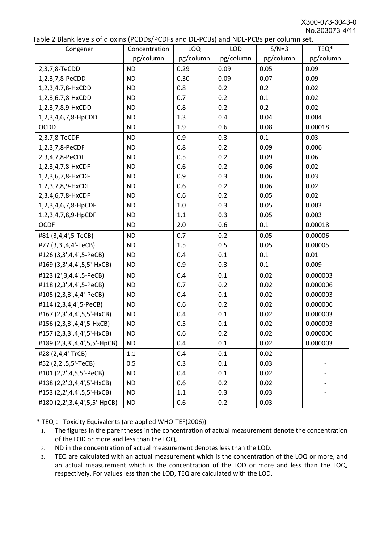X300-073-3043-0 No.203073-4/11

|  | Table 2 Blank levels of dioxins (PCDDs/PCDFs and DL-PCBs) and NDL-PCBs per column set. |
|--|----------------------------------------------------------------------------------------|
|--|----------------------------------------------------------------------------------------|

| abic 2 Diarik icveis of dioxins (I CDD3/TCDTs and DET CD3/ and NDET CD3 pcr column sett.<br>Congener | Concentration | <b>LOQ</b> | <b>LOD</b> | $S/N=3$   | TEQ*      |
|------------------------------------------------------------------------------------------------------|---------------|------------|------------|-----------|-----------|
|                                                                                                      | pg/column     | pg/column  | pg/column  | pg/column | pg/column |
| 2,3,7,8-TeCDD                                                                                        | <b>ND</b>     | 0.29       | 0.09       | 0.05      | 0.09      |
| 1,2,3,7,8-PeCDD                                                                                      | <b>ND</b>     | 0.30       | 0.09       | 0.07      | 0.09      |
| 1,2,3,4,7,8-HxCDD                                                                                    | <b>ND</b>     | 0.8        | 0.2        | 0.2       | 0.02      |
| 1,2,3,6,7,8-HxCDD                                                                                    | <b>ND</b>     | 0.7        | 0.2        | 0.1       | 0.02      |
| 1,2,3,7,8,9-HxCDD                                                                                    | <b>ND</b>     | 0.8        | 0.2        | 0.2       | 0.02      |
| 1,2,3,4,6,7,8-HpCDD                                                                                  | <b>ND</b>     | 1.3        | 0.4        | 0.04      | 0.004     |
| <b>OCDD</b>                                                                                          | <b>ND</b>     | 1.9        | 0.6        | 0.08      | 0.00018   |
| 2,3,7,8-TeCDF                                                                                        | <b>ND</b>     | 0.9        | 0.3        | 0.1       | 0.03      |
| 1,2,3,7,8-PeCDF                                                                                      | <b>ND</b>     | 0.8        | 0.2        | 0.09      | 0.006     |
| 2,3,4,7,8-PeCDF                                                                                      | <b>ND</b>     | 0.5        | 0.2        | 0.09      | 0.06      |
| 1,2,3,4,7,8-HxCDF                                                                                    | <b>ND</b>     | 0.6        | 0.2        | 0.06      | 0.02      |
| 1,2,3,6,7,8-HxCDF                                                                                    | <b>ND</b>     | 0.9        | 0.3        | 0.06      | 0.03      |
| 1,2,3,7,8,9-HxCDF                                                                                    | <b>ND</b>     | 0.6        | 0.2        | 0.06      | 0.02      |
| 2,3,4,6,7,8-HxCDF                                                                                    | <b>ND</b>     | 0.6        | 0.2        | 0.05      | 0.02      |
| 1,2,3,4,6,7,8-HpCDF                                                                                  | <b>ND</b>     | 1.0        | 0.3        | 0.05      | 0.003     |
| 1,2,3,4,7,8,9-HpCDF                                                                                  | <b>ND</b>     | 1.1        | 0.3        | 0.05      | 0.003     |
| <b>OCDF</b>                                                                                          | <b>ND</b>     | 2.0        | 0.6        | 0.1       | 0.00018   |
| #81 (3,4,4',5-TeCB)                                                                                  | <b>ND</b>     | 0.7        | 0.2        | 0.05      | 0.00006   |
| #77 (3,3',4,4'-TeCB)                                                                                 | <b>ND</b>     | 1.5        | 0.5        | 0.05      | 0.00005   |
| #126 (3,3',4,4',5-PeCB)                                                                              | <b>ND</b>     | 0.4        | 0.1        | 0.1       | 0.01      |
| #169 (3,3',4,4',5,5'-HxCB)                                                                           | <b>ND</b>     | 0.9        | 0.3        | 0.1       | 0.009     |
| #123 (2',3,4,4',5-PeCB)                                                                              | <b>ND</b>     | 0.4        | 0.1        | 0.02      | 0.000003  |
| #118 (2,3',4,4',5-PeCB)                                                                              | <b>ND</b>     | 0.7        | 0.2        | 0.02      | 0.000006  |
| #105 (2,3,3',4,4'-PeCB)                                                                              | <b>ND</b>     | 0.4        | 0.1        | 0.02      | 0.000003  |
| #114 (2,3,4,4',5-PeCB)                                                                               | <b>ND</b>     | 0.6        | 0.2        | 0.02      | 0.000006  |
| #167 (2,3',4,4',5,5'-HxCB)                                                                           | <b>ND</b>     | 0.4        | 0.1        | 0.02      | 0.000003  |
| #156 (2,3,3',4,4',5-HxCB)                                                                            | <b>ND</b>     | 0.5        | 0.1        | 0.02      | 0.000003  |
| #157 (2,3,3',4,4',5'-HxCB)                                                                           | <b>ND</b>     | 0.6        | 0.2        | 0.02      | 0.000006  |
| #189 (2,3,3',4,4',5,5'-HpCB)                                                                         | <b>ND</b>     | 0.4        | 0.1        | 0.02      | 0.000003  |
| #28 (2,4,4'-TrCB)                                                                                    | 1.1           | 0.4        | 0.1        | 0.02      |           |
| #52 (2,2',5,5'-TeCB)                                                                                 | 0.5           | 0.3        | 0.1        | 0.03      |           |
| #101 (2,2',4,5,5'-PeCB)                                                                              | <b>ND</b>     | 0.4        | 0.1        | 0.02      |           |
| #138 (2,2',3,4,4',5'-HxCB)                                                                           | <b>ND</b>     | 0.6        | 0.2        | 0.02      |           |
| #153 (2,2',4,4',5,5'-HxCB)                                                                           | <b>ND</b>     | 1.1        | 0.3        | 0.03      |           |
| #180 (2,2',3,4,4',5,5'-HpCB)                                                                         | <b>ND</b>     | 0.6        | 0.2        | 0.03      |           |

\* TEQ: Toxicity Equivalents (are applied WHO-TEF(2006))

- 1. The figures in the parentheses in the concentration of actual measurement denote the concentration of the LOD or more and less than the LOQ.
- 2. ND in the concentration of actual measurement denotes less than the LOD.
- 3. TEQ are calculated with an actual measurement which is the concentration of the LOQ or more, and an actual measurement which is the concentration of the LOD or more and less than the LOQ, respectively. For values less than the LOD, TEQ are calculated with the LOD.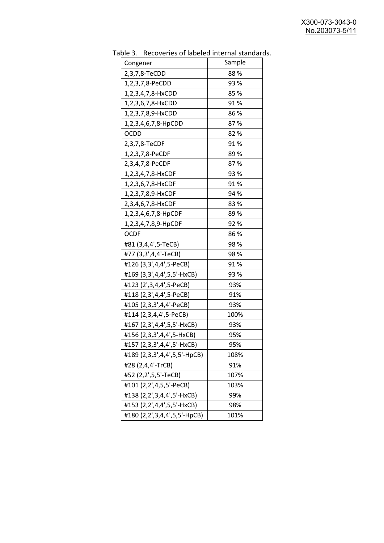| Congener                     | Sample |
|------------------------------|--------|
| 2,3,7,8-TeCDD                | 88%    |
| 1,2,3,7,8-PeCDD              | 93 %   |
| 1,2,3,4,7,8-HxCDD            | 85%    |
| 1,2,3,6,7,8-HxCDD            | 91%    |
| 1,2,3,7,8,9-HxCDD            | 86 %   |
| 1,2,3,4,6,7,8-HpCDD          | 87%    |
| <b>OCDD</b>                  | 82%    |
| 2,3,7,8-TeCDF                | 91%    |
| 1,2,3,7,8-PeCDF              | 89%    |
| 2,3,4,7,8-PeCDF              | 87%    |
| 1,2,3,4,7,8-HxCDF            | 93 %   |
| 1,2,3,6,7,8-HxCDF            | 91%    |
| 1,2,3,7,8,9-HxCDF            | 94 %   |
| 2,3,4,6,7,8-HxCDF            | 83%    |
| 1,2,3,4,6,7,8-HpCDF          | 89 %   |
| 1,2,3,4,7,8,9-HpCDF          | 92%    |
| <b>OCDF</b>                  | 86%    |
| #81 (3,4,4',5-TeCB)          | 98%    |
| #77 (3,3',4,4'-TeCB)         | 98%    |
| #126 (3,3',4,4',5-PeCB)      | 91%    |
| #169 (3,3',4,4',5,5'-HxCB)   | 93 %   |
| #123 (2',3,4,4',5-PeCB)      | 93%    |
| #118 (2,3',4,4',5-PeCB)      | 91%    |
| #105 (2,3,3',4,4'-PeCB)      | 93%    |
| #114 (2,3,4,4',5-PeCB)       | 100%   |
| #167 (2,3',4,4',5,5'-HxCB)   | 93%    |
| #156 (2,3,3',4,4',5-HxCB)    | 95%    |
| #157 (2,3,3',4,4',5'-HxCB)   | 95%    |
| #189 (2,3,3',4,4',5,5'-HpCB) | 108%   |
| #28 (2,4,4'-TrCB)            | 91%    |
| #52 (2,2',5,5'-TeCB)         | 107%   |
| #101 (2,2',4,5,5'-PeCB)      | 103%   |
| #138 (2,2',3,4,4',5'-HxCB)   | 99%    |
| #153 (2,2',4,4',5,5'-HxCB)   | 98%    |
| #180 (2,2',3,4,4',5,5'-HpCB) | 101%   |

Table 3. Recoveries of labeled internal standards.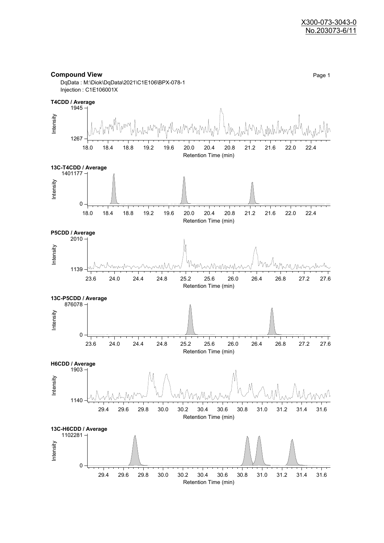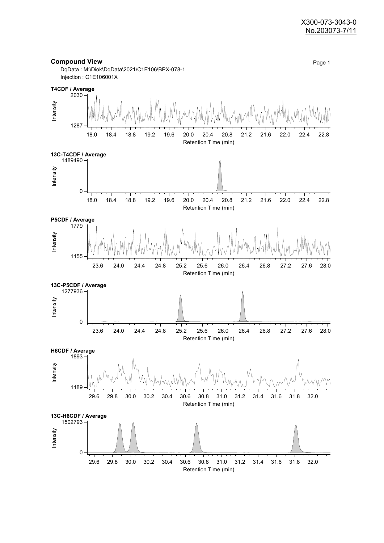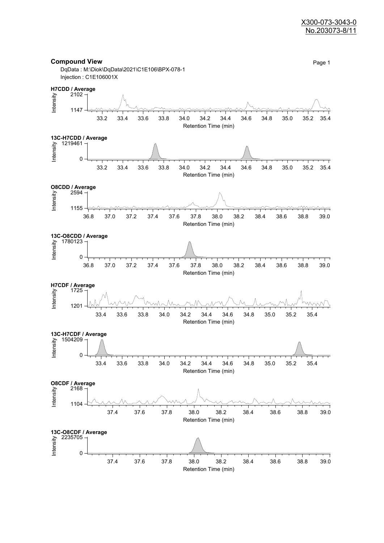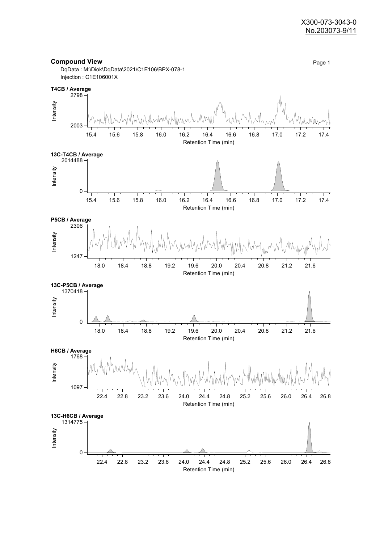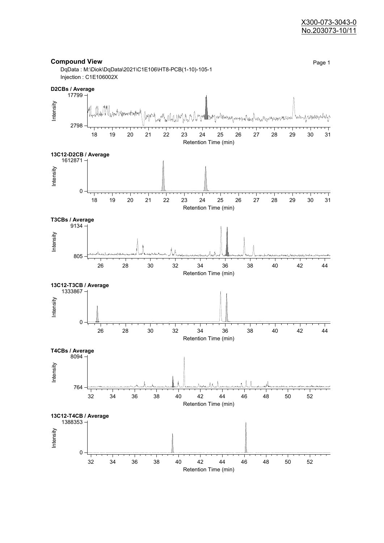